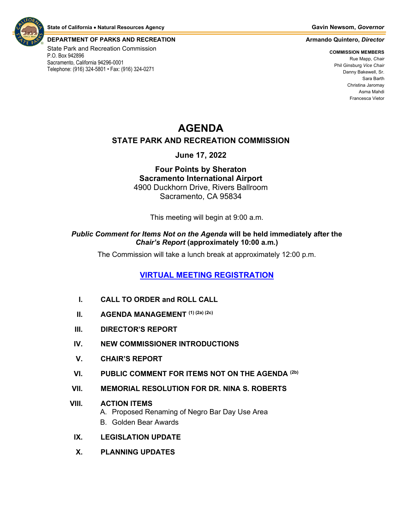

#### **DEPARTMENT OF PARKS AND RECREATION Armando Quintero,** *Director*

State Park and Recreation Commission P.O. Box 942896 Sacramento, California 94296-0001 Telephone: (916) 324-5801 • Fax: (916) 324-0271

**COMMISSION MEMBERS** Rue Mapp, *Chair* Phil Ginsburg *Vice Chair* Danny Bakewell, Sr. Sara Barth Christina Jaromay Asma Mahdi Francesca Vietor

# **AGENDA**

#### **STATE PARK AND RECREATION COMMISSION**

### **June 17, 2022**

### **Four Points by Sheraton Sacramento International Airport** 4900 Duckhorn Drive, Rivers Ballroom Sacramento, CA 95834

This meeting will begin at 9:00 a.m.

#### *Public Comment for Items Not on the Agenda* **will be held immediately after the**  *Chair's Report* **(approximately 10:00 a.m.)**

The Commission will take a lunch break at approximately 12:00 p.m.

# **[VIRTUAL MEETING REGISTRATION](https://us02web.zoom.us/webinar/register/WN_-fvsoO-PRjKSrUsIrLlg5w)**

- **I. CALL TO ORDER and ROLL CALL**
- **II. AGENDA MANAGEMENT (1) (2a) (2c)**
- **III. DIRECTOR'S REPORT**
- **IV. NEW COMMISSIONER INTRODUCTIONS**
- **V. CHAIR'S REPORT**
- **VI. PUBLIC COMMENT FOR ITEMS NOT ON THE AGENDA (2b)**
- **VII. MEMORIAL RESOLUTION FOR DR. NINA S. ROBERTS**

#### **VIII. ACTION ITEMS**

- A. Proposed Renaming of Negro Bar Day Use Area
- B. Golden Bear Awards
- **IX. LEGISLATION UPDATE**
- **X. PLANNING UPDATES**